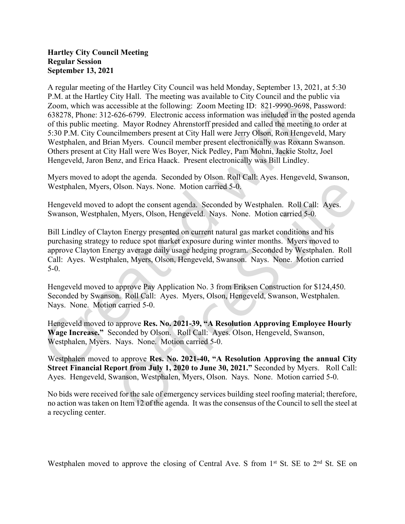## Hartley City Council Meeting Regular Session September 13, 2021

A regular meeting of the Hartley City Council was held Monday, September 13, 2021, at 5:30 P.M. at the Hartley City Hall. The meeting was available to City Council and the public via Zoom, which was accessible at the following: Zoom Meeting ID: 821-9990-9698, Password: 638278, Phone: 312-626-6799. Electronic access information was included in the posted agenda of this public meeting. Mayor Rodney Ahrenstorff presided and called the meeting to order at 5:30 P.M. City Councilmembers present at City Hall were Jerry Olson, Ron Hengeveld, Mary Westphalen, and Brian Myers. Council member present electronically was Roxann Swanson. Others present at City Hall were Wes Boyer, Nick Pedley, Pam Mohni, Jackie Stoltz, Joel Hengeveld, Jaron Benz, and Erica Haack. Present electronically was Bill Lindley.

Myers moved to adopt the agenda. Seconded by Olson. Roll Call: Ayes. Hengeveld, Swanson, Westphalen, Myers, Olson. Nays. None. Motion carried 5-0.

Hengeveld moved to adopt the consent agenda. Seconded by Westphalen. Roll Call: Ayes. Swanson, Westphalen, Myers, Olson, Hengeveld. Nays. None. Motion carried 5-0.

Bill Lindley of Clayton Energy presented on current natural gas market conditions and his purchasing strategy to reduce spot market exposure during winter months. Myers moved to approve Clayton Energy average daily usage hedging program. Seconded by Westphalen. Roll Call: Ayes. Westphalen, Myers, Olson, Hengeveld, Swanson. Nays. None. Motion carried 5-0.

Hengeveld moved to approve Pay Application No. 3 from Eriksen Construction for \$124,450. Seconded by Swanson. Roll Call: Ayes. Myers, Olson, Hengeveld, Swanson, Westphalen. Nays. None. Motion carried 5-0.

Hengeveld moved to approve Res. No. 2021-39, "A Resolution Approving Employee Hourly Wage Increase." Seconded by Olson. Roll Call: Ayes. Olson, Hengeveld, Swanson, Westphalen, Myers. Nays. None. Motion carried 5-0.

Westphalen moved to approve Res. No. 2021-40, "A Resolution Approving the annual City Street Financial Report from July 1, 2020 to June 30, 2021." Seconded by Myers. Roll Call: Ayes. Hengeveld, Swanson, Westphalen, Myers, Olson. Nays. None. Motion carried 5-0.

No bids were received for the sale of emergency services building steel roofing material; therefore, no action was taken on Item 12 of the agenda. It was the consensus of the Council to sell the steel at a recycling center.

Westphalen moved to approve the closing of Central Ave. S from  $1<sup>st</sup>$  St. SE to  $2<sup>nd</sup>$  St. SE on